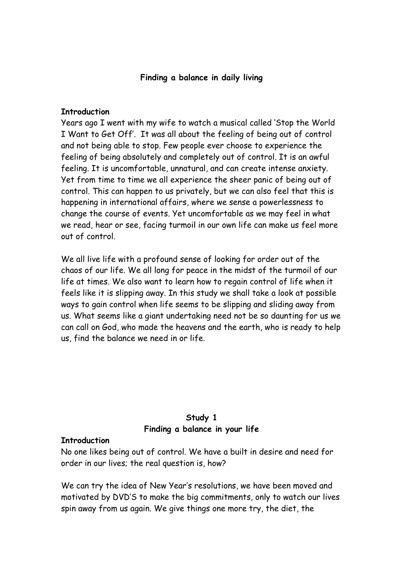#### **Finding a balance in daily living**

#### **Introduction**

Years ago I went with my wife to watch a musical called 'Stop the World I Want to Get Off'. It was all about the feeling of being out of control and not being able to stop. Few people ever choose to experience the feeling of being absolutely and completely out of control. It is an awful feeling. It is uncomfortable, unnatural, and can create intense anxiety. Yet from time to time we all experience the sheer panic of being out of control. This can happen to us privately, but we can also feel that this is happening in international affairs, where we sense a powerlessness to change the course of events. Yet uncomfortable as we may feel in what we read, hear or see, facing turmoil in our own life can make us feel more out of control.

We all live life with a profound sense of looking for order out of the chaos of our life. We all long for peace in the midst of the turmoil of our life at times. We also want to learn how to regain control of life when it feels like it is slipping away. In this study we shall take a look at possible ways to gain control when life seems to be slipping and sliding away from us. What seems like a giant undertaking need not be so daunting for us we can call on God, who made the heavens and the earth, who is ready to help us, find the balance we need in or life.

# **Study 1 Finding a balance in your life**

#### **Introduction**

No one likes being out of control. We have a built in desire and need for order in our lives; the real question is, how?

We can try the idea of New Year's resolutions, we have been moved and motivated by DVD'S to make the big commitments, only to watch our lives spin away from us again. We give things one more try, the diet, the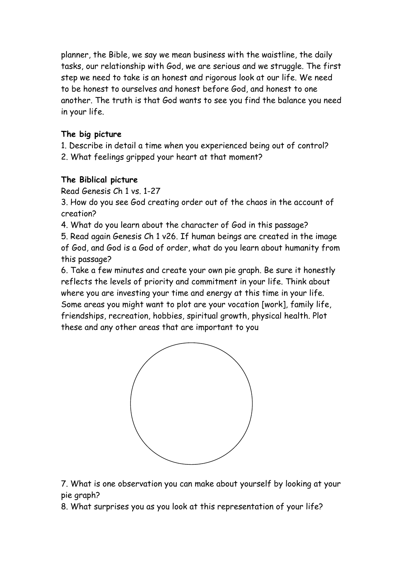planner, the Bible, we say we mean business with the waistline, the daily tasks, our relationship with God, we are serious and we struggle. The first step we need to take is an honest and rigorous look at our life. We need to be honest to ourselves and honest before God, and honest to one another. The truth is that God wants to see you find the balance you need in your life.

# **The big picture**

- 1. Describe in detail a time when you experienced being out of control?
- 2. What feelings gripped your heart at that moment?

# **The Biblical picture**

Read Genesis Ch 1 vs. 1-27

3. How do you see God creating order out of the chaos in the account of creation?

4. What do you learn about the character of God in this passage?

5. Read again Genesis Ch 1 v26. If human beings are created in the image of God, and God is a God of order, what do you learn about humanity from this passage?

6. Take a few minutes and create your own pie graph. Be sure it honestly reflects the levels of priority and commitment in your life. Think about where you are investing your time and energy at this time in your life. Some areas you might want to plot are your vocation [work], family life, friendships, recreation, hobbies, spiritual growth, physical health. Plot these and any other areas that are important to you



7. What is one observation you can make about yourself by looking at your pie graph?

8. What surprises you as you look at this representation of your life?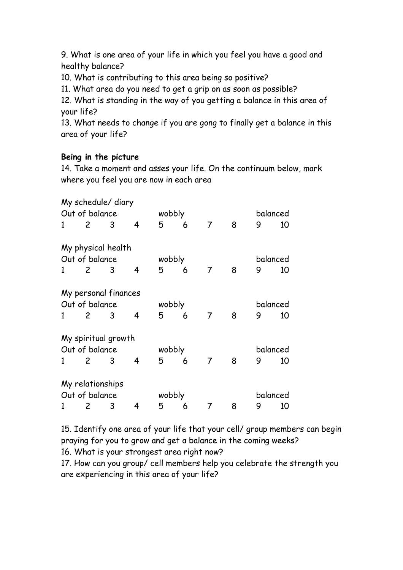9. What is one area of your life in which you feel you have a good and healthy balance?

10. What is contributing to this area being so positive?

11. What area do you need to get a grip on as soon as possible?

12. What is standing in the way of you getting a balance in this area of your life?

13. What needs to change if you are gong to finally get a balance in this area of your life?

## **Being in the picture**

14. Take a moment and asses your life. On the continuum below, mark where you feel you are now in each area

|                |                | My schedule/ diary   |   |        |   |                |          |          |    |
|----------------|----------------|----------------------|---|--------|---|----------------|----------|----------|----|
| Out of balance |                |                      |   | wobbly |   |                |          | balanced |    |
| 1              | $\overline{2}$ | 3                    | 4 | 5      | 6 | $\overline{7}$ | 8        | 9        | 10 |
|                |                | My physical health   |   |        |   |                |          |          |    |
| Out of balance |                |                      |   | wobbly |   |                |          | balanced |    |
| 1              | $\mathsf{2}$   | 3                    | 4 | 5      | 6 | $\overline{7}$ | 8        | 9        | 10 |
|                |                | My personal finances |   |        |   |                |          |          |    |
| Out of balance |                |                      |   | wobbly |   |                |          | balanced |    |
| 1              | $\overline{2}$ | 3                    | 4 | 5      | 6 | 7              | 8        | 9        | 10 |
|                |                | My spiritual growth  |   |        |   |                |          |          |    |
| Out of balance |                |                      |   | wobbly |   |                |          | balanced |    |
| 1              | $\overline{2}$ | 3                    | 4 | 5      | 6 | $\overline{7}$ | 8        | 9        | 10 |
|                |                | My relationships     |   |        |   |                |          |          |    |
| Out of balance |                |                      |   | wobbly |   |                | balanced |          |    |
| 1              | 2              | 3                    | 4 | 5      | 6 | $\overline{7}$ | 8        | 9        | 10 |

15. Identify one area of your life that your cell/ group members can begin praying for you to grow and get a balance in the coming weeks?

16. What is your strongest area right now?

17. How can you group/ cell members help you celebrate the strength you are experiencing in this area of your life?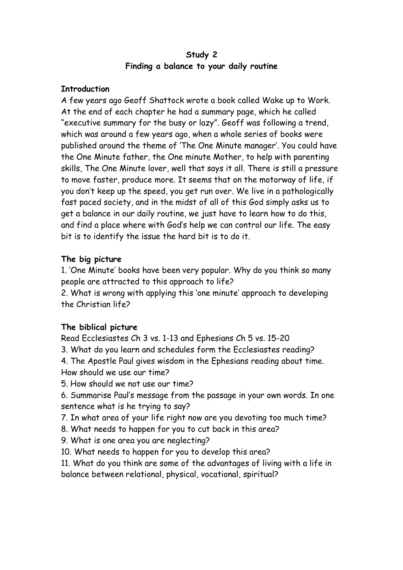## **Study 2 Finding a balance to your daily routine**

## **Introduction**

A few years ago Geoff Shattock wrote a book called Wake up to Work. At the end of each chapter he had a summary page, which he called "executive summary for the busy or lazy". Geoff was following a trend, which was around a few years ago, when a whole series of books were published around the theme of 'The One Minute manager'. You could have the One Minute father, the One minute Mother, to help with parenting skills, The One Minute lover, well that says it all. There is still a pressure to move faster, produce more. It seems that on the motorway of life, if you don't keep up the speed, you get run over. We live in a pathologically fast paced society, and in the midst of all of this God simply asks us to get a balance in our daily routine, we just have to learn how to do this, and find a place where with God's help we can control our life. The easy bit is to identify the issue the hard bit is to do it.

## **The big picture**

1. 'One Minute' books have been very popular. Why do you think so many people are attracted to this approach to life?

2. What is wrong with applying this 'one minute' approach to developing the Christian life?

## **The biblical picture**

Read Ecclesiastes Ch 3 vs. 1-13 and Ephesians Ch 5 vs. 15-20

3. What do you learn and schedules form the Ecclesiastes reading?

4. The Apostle Paul gives wisdom in the Ephesians reading about time. How should we use our time?

5. How should we not use our time?

6. Summarise Paul's message from the passage in your own words. In one sentence what is he trying to say?

7. In what area of your life right now are you devoting too much time?

- 8. What needs to happen for you to cut back in this area?
- 9. What is one area you are neglecting?
- 10. What needs to happen for you to develop this area?

11. What do you think are some of the advantages of living with a life in balance between relational, physical, vocational, spiritual?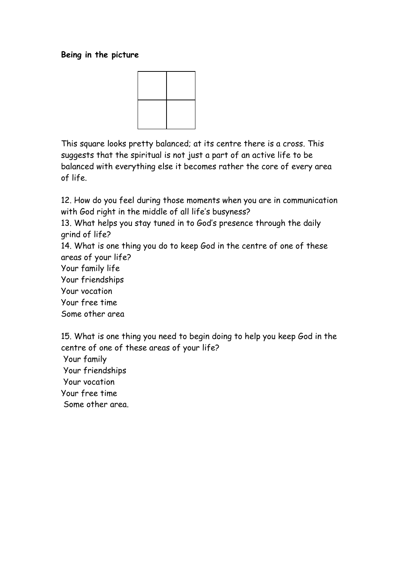### **Being in the picture**



This square looks pretty balanced; at its centre there is a cross. This suggests that the spiritual is not just a part of an active life to be balanced with everything else it becomes rather the core of every area of life.

12. How do you feel during those moments when you are in communication with God right in the middle of all life's busyness?

13. What helps you stay tuned in to God's presence through the daily grind of life?

14. What is one thing you do to keep God in the centre of one of these areas of your life?

Your family life

Your friendships

Your vocation

Your free time

Some other area

15. What is one thing you need to begin doing to help you keep God in the centre of one of these areas of your life?

Your family

Your friendships

Your vocation

Your free time

Some other area.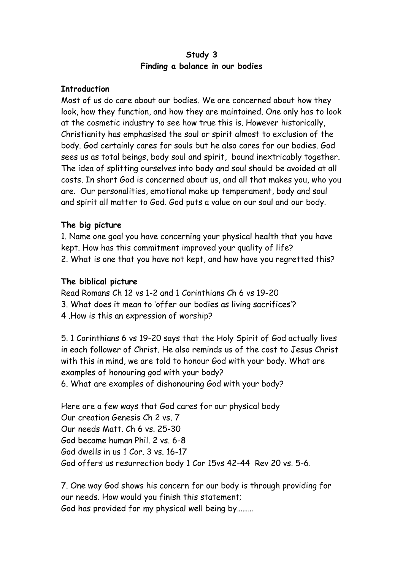### **Study 3 Finding a balance in our bodies**

#### **Introduction**

Most of us do care about our bodies. We are concerned about how they look, how they function, and how they are maintained. One only has to look at the cosmetic industry to see how true this is. However historically, Christianity has emphasised the soul or spirit almost to exclusion of the body. God certainly cares for souls but he also cares for our bodies. God sees us as total beings, body soul and spirit, bound inextricably together. The idea of splitting ourselves into body and soul should be avoided at all costs. In short God is concerned about us, and all that makes you, who you are. Our personalities, emotional make up temperament, body and soul and spirit all matter to God. God puts a value on our soul and our body.

## **The big picture**

1. Name one goal you have concerning your physical health that you have kept. How has this commitment improved your quality of life? 2. What is one that you have not kept, and how have you regretted this?

## **The biblical picture**

Read Romans Ch 12 vs 1-2 and 1 Corinthians Ch 6 vs 19-20 3. What does it mean to 'offer our bodies as living sacrifices'? 4 .How is this an expression of worship?

5. 1 Corinthians 6 vs 19-20 says that the Holy Spirit of God actually lives in each follower of Christ. He also reminds us of the cost to Jesus Christ with this in mind, we are told to honour God with your body. What are examples of honouring god with your body? 6. What are examples of dishonouring God with your body?

Here are a few ways that God cares for our physical body Our creation Genesis Ch 2 vs. 7 Our needs Matt. Ch 6 vs. 25-30 God became human Phil. 2 vs. 6-8 God dwells in us 1 Cor. 3 vs. 16-17 God offers us resurrection body 1 Cor 15vs 42-44 Rev 20 vs. 5-6.

7. One way God shows his concern for our body is through providing for our needs. How would you finish this statement; God has provided for my physical well being by………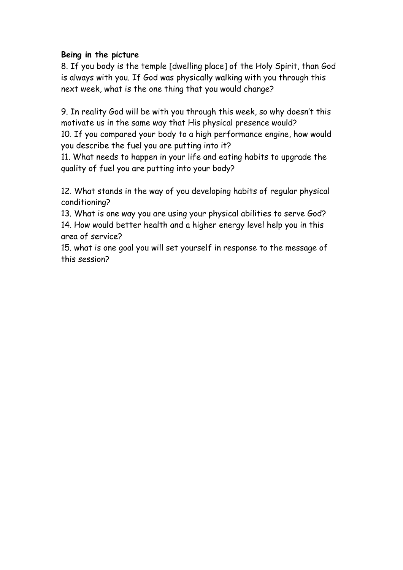## **Being in the picture**

8. If you body is the temple [dwelling place] of the Holy Spirit, than God is always with you. If God was physically walking with you through this next week, what is the one thing that you would change?

9. In reality God will be with you through this week, so why doesn't this motivate us in the same way that His physical presence would? 10. If you compared your body to a high performance engine, how would you describe the fuel you are putting into it?

11. What needs to happen in your life and eating habits to upgrade the quality of fuel you are putting into your body?

12. What stands in the way of you developing habits of regular physical conditioning?

13. What is one way you are using your physical abilities to serve God? 14. How would better health and a higher energy level help you in this area of service?

15. what is one goal you will set yourself in response to the message of this session?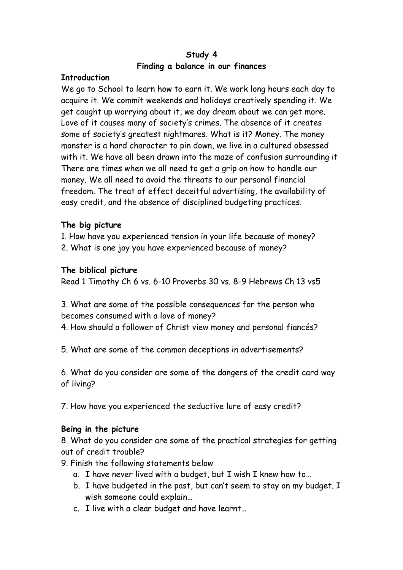## **Study 4 Finding a balance in our finances**

## **Introduction**

We go to School to learn how to earn it. We work long hours each day to acquire it. We commit weekends and holidays creatively spending it. We get caught up worrying about it, we day dream about we can get more. Love of it causes many of society's crimes. The absence of it creates some of society's greatest nightmares. What is it? Money. The money monster is a hard character to pin down, we live in a cultured obsessed with it. We have all been drawn into the maze of confusion surrounding it There are times when we all need to get a grip on how to handle our money. We all need to avoid the threats to our personal financial freedom. The treat of effect deceitful advertising, the availability of easy credit, and the absence of disciplined budgeting practices.

## **The big picture**

- 1. How have you experienced tension in your life because of money?
- 2. What is one joy you have experienced because of money?

## **The biblical picture**

Read 1 Timothy Ch 6 vs. 6-10 Proverbs 30 vs. 8-9 Hebrews Ch 13 vs5

3. What are some of the possible consequences for the person who becomes consumed with a love of money?

- 4. How should a follower of Christ view money and personal fiancés?
- 5. What are some of the common deceptions in advertisements?

6. What do you consider are some of the dangers of the credit card way of living?

7. How have you experienced the seductive lure of easy credit?

#### **Being in the picture**

8. What do you consider are some of the practical strategies for getting out of credit trouble?

- 9. Finish the following statements below
	- a. I have never lived with a budget, but I wish I knew how to…
	- b. I have budgeted in the past, but can't seem to stay on my budget. I wish someone could explain…
	- c. I live with a clear budget and have learnt…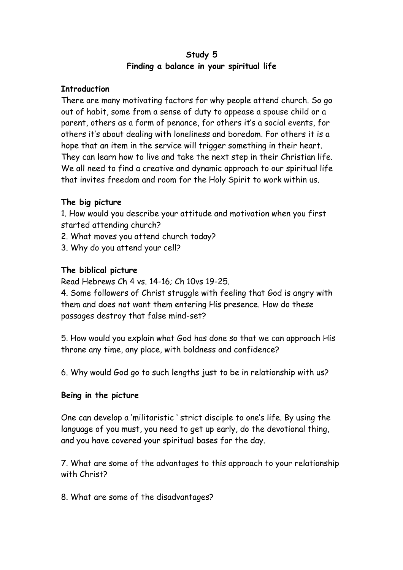## **Study 5 Finding a balance in your spiritual life**

## **Introduction**

There are many motivating factors for why people attend church. So go out of habit, some from a sense of duty to appease a spouse child or a parent, others as a form of penance, for others it's a social events, for others it's about dealing with loneliness and boredom. For others it is a hope that an item in the service will trigger something in their heart. They can learn how to live and take the next step in their Christian life. We all need to find a creative and dynamic approach to our spiritual life that invites freedom and room for the Holy Spirit to work within us.

## **The big picture**

1. How would you describe your attitude and motivation when you first started attending church?

- 2. What moves you attend church today?
- 3. Why do you attend your cell?

## **The biblical picture**

Read Hebrews Ch 4 vs. 14-16; Ch 10vs 19-25.

4. Some followers of Christ struggle with feeling that God is angry with them and does not want them entering His presence. How do these passages destroy that false mind-set?

5. How would you explain what God has done so that we can approach His throne any time, any place, with boldness and confidence?

6. Why would God go to such lengths just to be in relationship with us?

#### **Being in the picture**

One can develop a 'militaristic ' strict disciple to one's life. By using the language of you must, you need to get up early, do the devotional thing, and you have covered your spiritual bases for the day.

7. What are some of the advantages to this approach to your relationship with Christ?

8. What are some of the disadvantages?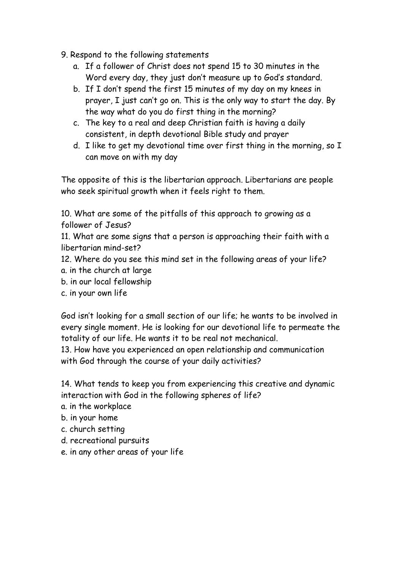- 9. Respond to the following statements
	- a. If a follower of Christ does not spend 15 to 30 minutes in the Word every day, they just don't measure up to God's standard.
	- b. If I don't spend the first 15 minutes of my day on my knees in prayer, I just can't go on. This is the only way to start the day. By the way what do you do first thing in the morning?
	- c. The key to a real and deep Christian faith is having a daily consistent, in depth devotional Bible study and prayer
	- d. I like to get my devotional time over first thing in the morning, so I can move on with my day

The opposite of this is the libertarian approach. Libertarians are people who seek spiritual growth when it feels right to them.

10. What are some of the pitfalls of this approach to growing as a follower of Jesus?

11. What are some signs that a person is approaching their faith with a libertarian mind-set?

12. Where do you see this mind set in the following areas of your life?

- a. in the church at large
- b. in our local fellowship
- c. in your own life

God isn't looking for a small section of our life; he wants to be involved in every single moment. He is looking for our devotional life to permeate the totality of our life. He wants it to be real not mechanical.

13. How have you experienced an open relationship and communication with God through the course of your daily activities?

14. What tends to keep you from experiencing this creative and dynamic interaction with God in the following spheres of life?

- a. in the workplace
- b. in your home
- c. church setting
- d. recreational pursuits
- e. in any other areas of your life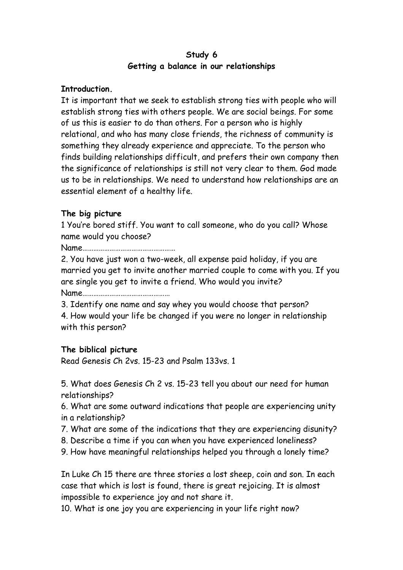## **Study 6 Getting a balance in our relationships**

#### **Introduction.**

It is important that we seek to establish strong ties with people who will establish strong ties with others people. We are social beings. For some of us this is easier to do than others. For a person who is highly relational, and who has many close friends, the richness of community is something they already experience and appreciate. To the person who finds building relationships difficult, and prefers their own company then the significance of relationships is still not very clear to them. God made us to be in relationships. We need to understand how relationships are an essential element of a healthy life.

## **The big picture**

1 You're bored stiff. You want to call someone, who do you call? Whose name would you choose?

Name……………………………………………

2. You have just won a two-week, all expense paid holiday, if you are married you get to invite another married couple to come with you. If you are single you get to invite a friend. Who would you invite? Name…………………………………………

3. Identify one name and say whey you would choose that person?

4. How would your life be changed if you were no longer in relationship with this person?

## **The biblical picture**

Read Genesis Ch 2vs. 15-23 and Psalm 133vs. 1

5. What does Genesis Ch 2 vs. 15-23 tell you about our need for human relationships?

6. What are some outward indications that people are experiencing unity in a relationship?

- 7. What are some of the indications that they are experiencing disunity?
- 8. Describe a time if you can when you have experienced loneliness?
- 9. How have meaningful relationships helped you through a lonely time?

In Luke Ch 15 there are three stories a lost sheep, coin and son. In each case that which is lost is found, there is great rejoicing. It is almost impossible to experience joy and not share it.

10. What is one joy you are experiencing in your life right now?